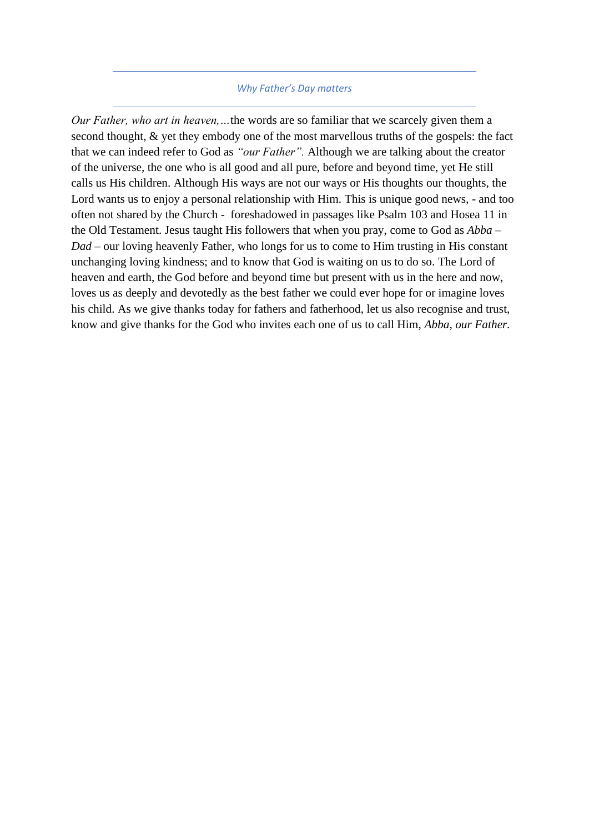## *Why Father's Day matters*

*Our Father, who art in heaven,…*the words are so familiar that we scarcely given them a second thought, & yet they embody one of the most marvellous truths of the gospels: the fact that we can indeed refer to God as *"our Father".* Although we are talking about the creator of the universe, the one who is all good and all pure, before and beyond time, yet He still calls us His children. Although His ways are not our ways or His thoughts our thoughts, the Lord wants us to enjoy a personal relationship with Him. This is unique good news, - and too often not shared by the Church - foreshadowed in passages like Psalm 103 and Hosea 11 in the Old Testament. Jesus taught His followers that when you pray, come to God as *Abba – Dad –* our loving heavenly Father, who longs for us to come to Him trusting in His constant unchanging loving kindness; and to know that God is waiting on us to do so. The Lord of heaven and earth, the God before and beyond time but present with us in the here and now, loves us as deeply and devotedly as the best father we could ever hope for or imagine loves his child. As we give thanks today for fathers and fatherhood, let us also recognise and trust, know and give thanks for the God who invites each one of us to call Him, *Abba, our Father.*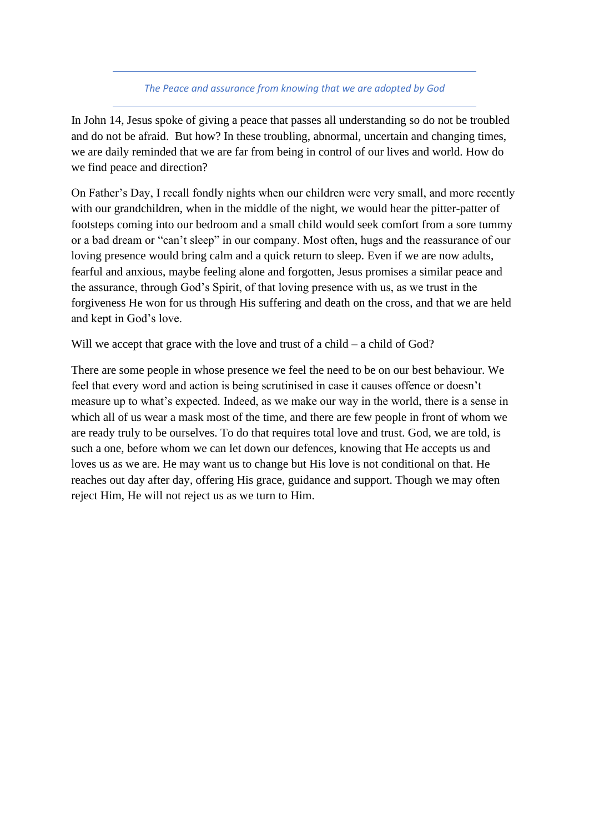## *The Peace and assurance from knowing that we are adopted by God*

In John 14, Jesus spoke of giving a peace that passes all understanding so do not be troubled and do not be afraid. But how? In these troubling, abnormal, uncertain and changing times, we are daily reminded that we are far from being in control of our lives and world. How do we find peace and direction?

On Father's Day, I recall fondly nights when our children were very small, and more recently with our grandchildren, when in the middle of the night, we would hear the pitter-patter of footsteps coming into our bedroom and a small child would seek comfort from a sore tummy or a bad dream or "can't sleep" in our company. Most often, hugs and the reassurance of our loving presence would bring calm and a quick return to sleep. Even if we are now adults, fearful and anxious, maybe feeling alone and forgotten, Jesus promises a similar peace and the assurance, through God's Spirit, of that loving presence with us, as we trust in the forgiveness He won for us through His suffering and death on the cross, and that we are held and kept in God's love.

Will we accept that grace with the love and trust of a child – a child of God?

There are some people in whose presence we feel the need to be on our best behaviour. We feel that every word and action is being scrutinised in case it causes offence or doesn't measure up to what's expected. Indeed, as we make our way in the world, there is a sense in which all of us wear a mask most of the time, and there are few people in front of whom we are ready truly to be ourselves. To do that requires total love and trust. God, we are told, is such a one, before whom we can let down our defences, knowing that He accepts us and loves us as we are. He may want us to change but His love is not conditional on that. He reaches out day after day, offering His grace, guidance and support. Though we may often reject Him, He will not reject us as we turn to Him.